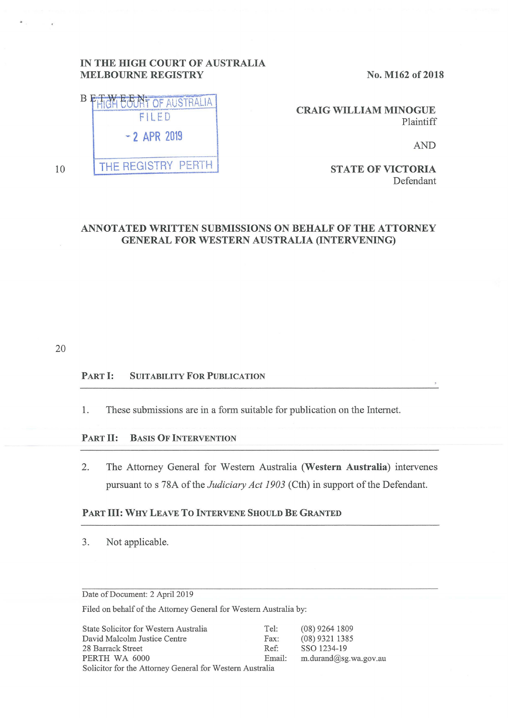# **IN THE HIGH COURT OF AUSTRALIA MELBOURNE REGISTRY** No. M162 of 2018

**EGINT OF AUSTRALIA BE** FILED <sup>~</sup>2 APR 2019 THE REGISTRY PERTH

10

**CRAIG WILLIAM MINOGUE**  Plaintiff

AND

**STATE OF VICTORIA**  Defendant

# **ANNOTATED WRITTEN SUBMISSIONS ON BEHALF OF THE ATTORNEY GENERAL FOR WESTERN AUSTRALIA (INTERVENING)**

20

# PART I: SUITABILITY FOR PUBLICATION

1. These submissions are in a form suitable for publication on the Internet.

### PART II: **BASIS OF INTERVENTION**

2. The Attorney General for Western Australia **(Western Australia)** intervenes pursuant to s 78A of the *Judiciary Act 1903* (Cth) in support of the Defendant.

### PART III: **WHY LEA VE To INTERVENE SHOULD BE GRANTED**

3. Not applicable.

Date of Document: 2 April 2019

Filed on behalf of the Attorney General for Western Australia by:

| State Solicitor for Western Australia                    | Tel:   | $(08)$ 9264 1809      |
|----------------------------------------------------------|--------|-----------------------|
| David Malcolm Justice Centre                             | Fax:   | $(08)$ 9321 1385      |
| 28 Barrack Street                                        | Ref:   | SSO 1234-19           |
| PERTH WA 6000                                            | Email: | m.durand@sg.wa.gov.au |
| Solicitor for the Attorney General for Western Australia |        |                       |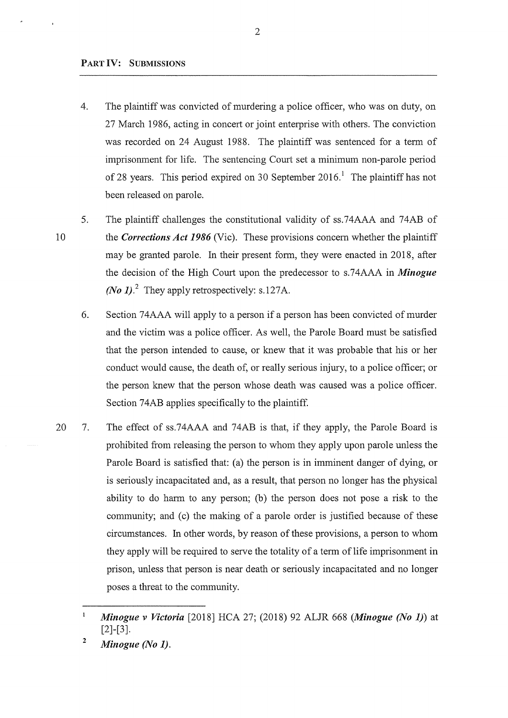## **PART IV: SUBMISSIONS**

- 4. The plaintiff was convicted of murdering a police officer, who was on duty, on 27 March 1986, acting in concert or joint enterprise with others. The conviction was recorded on 24 August 1988. The plaintiff was sentenced for a term of imprisonment for life. The sentencing Court set a minimum non-parole period of 28 years. This period expired on 30 September 2016.<sup>1</sup> The plaintiff has not been released on parole.
- 10 5. The plaintiff challenges the constitutional validity of ss.74AAA and 74AB of the *Corrections Act 1986* (Vic). These provisions concern whether the plaintiff may be granted parole. In their present form, they were enacted in 2018, after the decision of the High Court upon the predecessor to s.74AAA in *Minogue (No 1).*<sup>2</sup> They apply retrospectively: s.127A.
	- 6. Section 74AAA will apply to a person if a person has been convicted of murder and the victim was a police officer. As well, the Parole Board must be satisfied that the person intended to cause, or knew that it was probable that his or her conduct would cause, the death of, or really serious injury, to a police officer; or the person knew that the person whose death was caused was a police officer. Section 74AB applies specifically to the plaintiff.
- 20 7. The effect of ss.74AAA and 74AB is that, if they apply, the Parole Board is prohibited from releasing the person to whom they apply upon parole unless the Parole Board is satisfied that: (a) the person is in imminent danger of dying, or is seriously incapacitated and, as a result, that person no longer has the physical ability to do harm to any person; (b) the person does not pose a risk to the community; and (c) the making of a parole order is justified because of these circumstances. In other words, by reason of these provisions, a person to whom they apply will be required to serve the totality of a term of life imprisonment in prison, unless that person is near death or seriously incapacitated and no longer poses a threat to the community.

 $\mathbf{1}$ *Minogue v Victoria* [2018] HCA 27; (2018) 92 ALJR 668 *(Minogue (No 1))* at [2]-[3].

**<sup>2</sup>**  *Minogue (No 1).*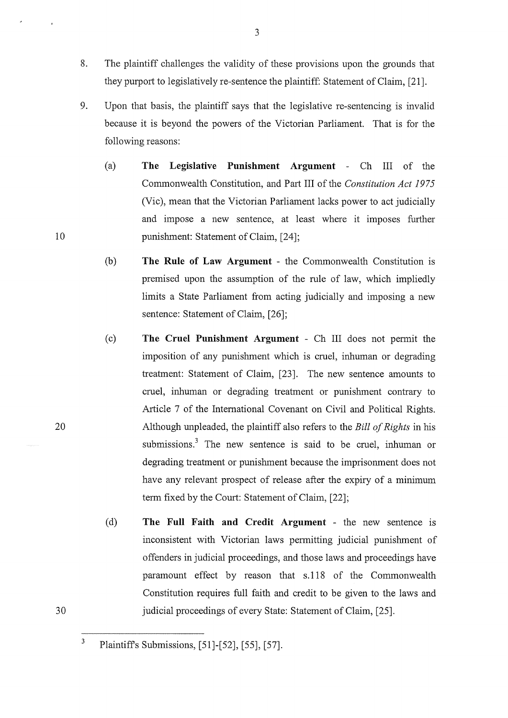- 8. The plaintiff challenges the validity of these provisions upon the grounds that they purport to legislatively re-sentence the plaintiff: Statement of Claim, [21].
- 9. Upon that basis, the plaintiff says that the legislative re-sentencing is invalid because it is beyond the powers of the Victorian Parliament. That is for the following reasons:
	- (a) **The Legislative Punishment Argument**  Ch III of the Commonwealth Constitution, and Part III of the *Constitution Act 1975*  (Vic), mean that the Victorian Parliament lacks power to act judicially and impose a new sentence, at least where it imposes further punishment: Statement of Claim, [24];
	- (b) **The Rule of Law Argument**  the Commonwealth Constitution is premised upon the assumption of the rule of law, which impliedly limits a State Parliament from acting judicially and imposing a new sentence: Statement of Claim, [26];
	- ( c) **The Cruel Punishment Argument**  Ch III does not permit the imposition of any punishment which is cruel, inhuman or degrading treatment: Statement of Claim, [23]. The new sentence amounts to cruel, inhuman or degrading treatment or punishment contrary to Article 7 of the International Covenant on Civil and Political Rights. Although unpleaded, the plaintiff also refers to the *Bill of Rights* in his submissions. $3$  The new sentence is said to be cruel, inhuman or degrading treatment or punishment because the imprisonment does not have any relevant prospect of release after the expiry of a minimum term fixed by the Court: Statement of Claim, [22];
	- ( d) **The Full Faith and Credit Argument**  the new sentence 1s inconsistent with Victorian laws permitting judicial punishment of offenders in judicial proceedings, and those laws and proceedings have paramount effect by reason that s.118 of the Commonwealth Constitution requires full faith and credit to be given to the laws and judicial proceedings of every State: Statement of Claim, [25].

10

20

30

Plaintiffs Submissions, [51]-[52], [55], [57].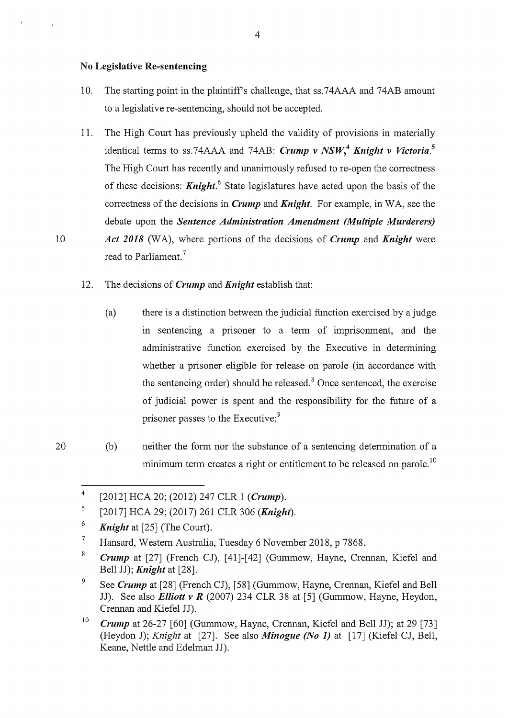## **No Legislative Re-sentencing**

- 10. The starting point in the plaintiffs challenge, that ss.74AAA and 74AB amount to a legislative re-sentencing, should not be accepted.
- 11. The High Court has previously upheld the validity of provisions in materially identical terms to ss.74AAA and 74AB: *Crump v NSW,***<sup>4</sup>***Knight v Victoria.***<sup>5</sup>** The High Court has recently and unanimously refused to re-open the correctness of these decisions: *Knight. <sup>6</sup>*State legislatures have acted upon the basis of the correctness of the decisions in *Crump* and *Knight.* For example, in WA, see the debate upon the *Sentence Administration Amendment (Multiple Murderers)*  10 *Act 2018* (WA), where portions of the decisions of *Crump* and *Knight* were read to Parliament. <sup>7</sup>
	- 12. The decisions of *Crump* and *Knight* establish that:
		- (a) there is a distinction between the judicial function exercised by a judge in sentencing a prisoner to a term of imprisonment, and the administrative function exercised by the Executive in detennining whether a prisoner eligible for release on parole (in accordance with the sentencing order) should be released. $8$  Once sentenced, the exercise of judicial power is spent and the responsibility for the future of a prisoner passes to the Executive;<sup>9</sup>
	- (b) neither the form nor the substance of a sentencing determination of a minimum term creates a right or entitlement to be released on parole.<sup>10</sup>

<sup>4</sup>  [2012] HCA 20; (2012) 247 CLR 1 *(Crump).* 

<sup>5</sup>  [2017] HCA 29; (2017) 261 CLR 306 *(Knight).* 

<sup>6</sup>  *Knight* at [25] (The Court).

<sup>7</sup>  Hansard, Western Australia, Tuesday 6 November 2018, p 7868.

<sup>8</sup>  *Crump* at [27] (French CJ), [41]-[42] (Gummow, Hayne, Crennan, Kiefel and Bell JJ); *Knight* at [28].

<sup>9</sup>  See *Crump* at [28] (French CJ), [58] (Gummow, Hayne, Crennan, Kiefel and Bell JJ). See also *Elliott v R* (2007) 234 CLR 38 at [5] (Gummow, Hayne, Heydon, Crennan and Kiefel JJ).

<sup>10</sup>  *Crump* at 26-27 [60] (Gummow, Hayne, Crennan, Kiefel and Bell JJ); at 29 [73] (Heydon J); *Knight* at [27]. See also *Minogue (No 1)* at [17] (Kiefel CJ, Bell, Keane, Nettle and Edelman JJ).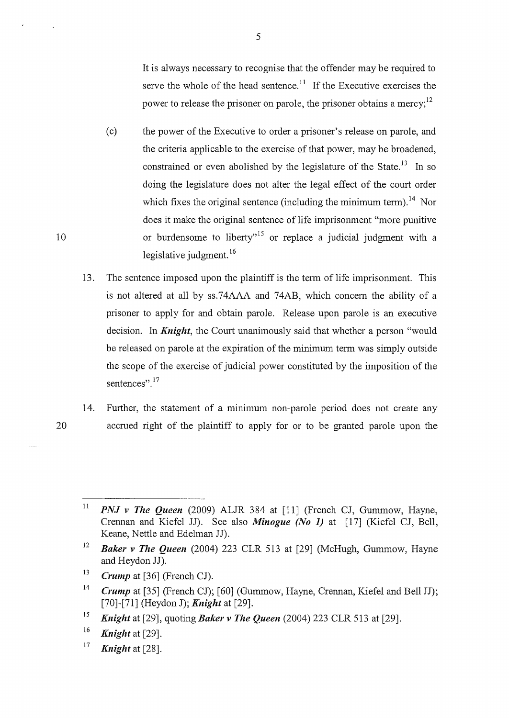It is always necessary to recognise that the offender may be required to serve the whole of the head sentence.<sup>11</sup> If the Executive exercises the power to release the prisoner on parole, the prisoner obtains a mercy;<sup>12</sup>

- ( c) the power of the Executive to order a prisoner's release on parole, and the criteria applicable to the exercise of that power, may be broadened, constrained or even abolished by the legislature of the State.<sup>13</sup> In so doing the legislature does not alter the legal effect of the court order which fixes the original sentence (including the minimum term).<sup>14</sup> Nor does it make the original sentence of life imprisonment "more punitive 10 **10** or burdensome to liberty<sup>15</sup> or replace a judicial judgment with a legislative judgment.<sup>16</sup>
	- 13. The sentence imposed upon the plaintiff is the term of life imprisonment. This is not altered at all by ss.74AAA and 74AB, which concern the ability of a prisoner to apply for and obtain parole. Release upon parole is an executive decision. In *Knight,* the Court unanimously said that whether a person "would be released on parole at the expiration of the minimum term was simply outside the scope of the exercise of judicial power constituted by the imposition of the sentences".<sup>17</sup>
	- 14. Further, the statement of a minimum non-parole period does not create any accrued right of the plaintiff to apply for or to be granted parole upon the

<sup>16</sup>*Knight* at [29].

<sup>17</sup>*Knight* at [28].

5

<sup>11</sup>  *PNJ v The Queen* (2009) ALJR 384 at [11] (French CJ, Gummow, Hayne, Crennan and Kiefel **JJ).** See also *Minogue (No 1)* at [17] (Kiefel CJ, Bell, Keane, Nettle and Edelman JJ).

<sup>12</sup>  *Baker v The Queen* (2004) 223 CLR 513 at [29] (McHugh, Gummow, Hayne and Heydon **JJ).** 

<sup>13</sup>  *Crump* at [36] (French CJ).

<sup>14</sup>  *Crump* at [35] (French CJ); [60] (Gummow, Hayne, Crennan, Kiefel and Bell JJ); [70]-[71] (Heydon J); *Knight* at [29].

<sup>15</sup>*Knight* at [29], quoting *Baker v The Queen* (2004) 223 CLR 513 at [29].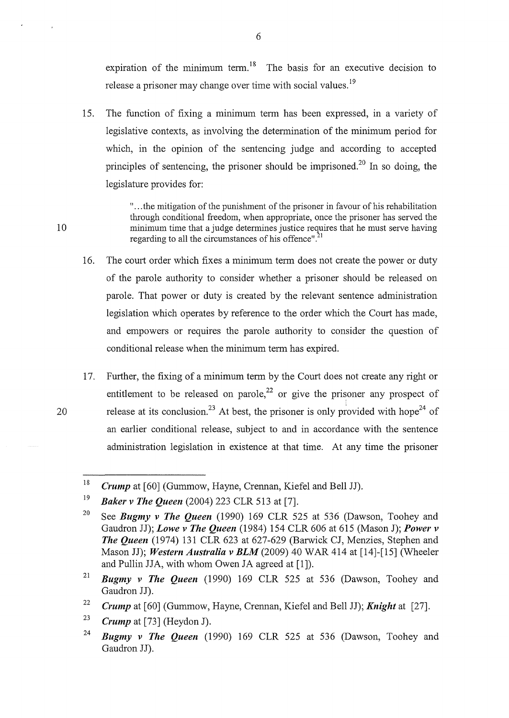expiration of the minimum term.<sup>18</sup> The basis for an executive decision to release a prisoner may change over time with social values.<sup>19</sup>

15. The function of fixing a minimum term has been expressed, in a variety of legislative contexts, as involving the determination of the minimum period for which, in the opinion of the sentencing judge and according to accepted principles of sentencing, the prisoner should be imprisoned.<sup>20</sup> In so doing, the legislature provides for:

" ... the mitigation of the punishment of the prisoner in favour of his rehabilitation through conditional freedom, when appropriate, once the prisoner has served the 10 minimum time that a judge determines justice requires that he must serve having regarding to all the circumstances of his offence". $^{21}$ 

- 16. The court order which fixes a minimum term does not create the power or duty of the parole authority to consider whether a prisoner should be released on parole. That power or duty is created by the relevant sentence administration legislation which operates by reference to the order which the Court has made, and empowers or requires the parole authority to consider the question of conditional release when the minimum term has expired.
- 17. Further, the fixing of a minimum term by the Court does not create any right or entitlement to be released on parole,<sup>22</sup> or give the prisoner any prospect of 20 release at its conclusion.<sup>23</sup> At best, the prisoner is only provided with hope<sup>24</sup> of an earlier conditional release, subject to and in accordance with the sentence administration legislation in existence at that time. At any time the prisoner

<sup>18</sup>  *Crump* at [60] (Gummow, Hayne, Crennan, Kiefel and Bell JJ).

<sup>19</sup>  *Baker v The Queen* (2004) 223 CLR 513 at [7].

<sup>20</sup>  See *Bugmy v The Queen* (1990) 169 CLR 525 at 536 (Dawson, Toohey and Gaudron JJ); *Lowe v The Queen* (1984) 154 CLR 606 at 615 (Mason J); *Power v The Queen* (1974) 131 CLR 623 at 627-629 (Barwick CJ, Menzies, Stephen and Mason JJ); *Western Australia v BLM* (2009) 40 WAR 414 at [14]-[15] (Wheeler and Pullin JJA, with whom Owen JA agreed at [1]).

<sup>21</sup>  *Bugmy v The Queen* (1990) 169 CLR 525 at 536 (Dawson, Toohey and Gaudron JJ).

<sup>22</sup>  *Crump* at [60] (Gummow, Hayne, Crennan, Kiefel and Bell JJ); *Knight* at [27].

<sup>23</sup>  *Crump* at [73] (Heydon J).

<sup>24</sup>  *Bugmy v The Queen* (1990) 169 CLR 525 at 536 (Dawson, Toohey and Gaudron JJ).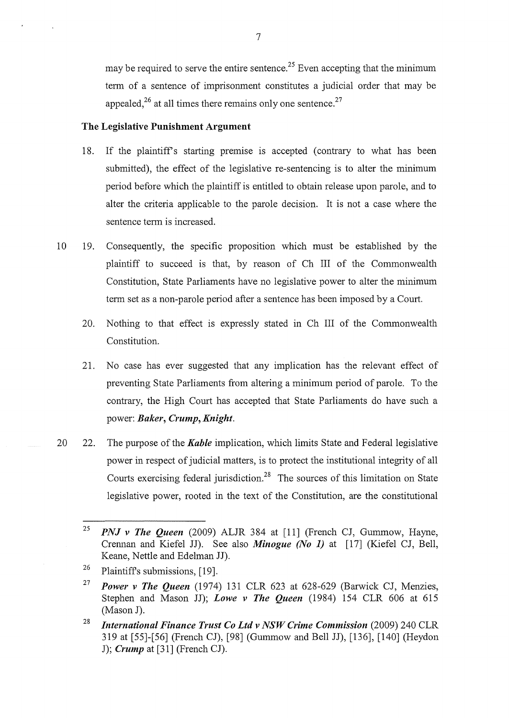may be required to serve the entire sentence.<sup>25</sup> Even accepting that the minimum term of a sentence of imprisonment constitutes a judicial order that may be appealed,<sup>26</sup> at all times there remains only one sentence.<sup>27</sup>

## **The Legislative Punishment Argument**

- 18. If the plaintiff's starting premise is accepted (contrary to what has been submitted), the effect of the legislative re-sentencing is to alter the minimum period before which the plaintiff is entitled to obtain release upon parole, and to alter the criteria applicable to the parole decision. It is not a case where the sentence term is increased.
- 10 19. Consequently, the specific proposition which must be established by the plaintiff to succeed is that, by reason of Ch III of the Commonwealth Constitution, State Parliaments have no legislative power to alter the minimum term set as a non-parole period after a sentence has been imposed by a Court.
	- 20. Nothing to that effect is expressly stated in Ch III of the Commonwealth Constitution.
	- 21. No case has ever suggested that any implication has the relevant effect of preventing State Parliaments from altering a minimum period of parole. To the contrary, the High Court has accepted that State Parliaments do have such a power: *Baker, Crump, Knight.*
- 20 22. The purpose of the *Kahle* implication, which limits State and Federal legislative power in respect of judicial matters, is to protect the institutional integrity of all Courts exercising federal jurisdiction.<sup>28</sup> The sources of this limitation on State legislative power, rooted in the text of the Constitution, are the constitutional

<sup>25</sup>  *PNJ v The Queen* (2009) ALJR 384 at [11] (French CJ, Gummow, Hayne, Crennan and Kiefel JJ). See also *Minogue (No 1)* at [17] (Kiefel CJ, Bell, Keane, Nettle and Edelman JJ).

<sup>26</sup>  Plaintiffs submissions, [19].

<sup>&</sup>lt;sup>27</sup> *Power v The Queen* (1974) 131 CLR 623 at 628-629 (Barwick CJ, Menzies, Stephen and Mason JJ); *Lowe v The Queen* (1984) 154 CLR 606 at 615 (Mason J).

<sup>28</sup>*International Finance Trust Co Ltd v NSW Crime Commission* (2009) 240 CLR 319 at [55]-[56] (French CJ), [98] (Gummow and Bell JJ), [136], [140] (Reydon J); *Crump* at [31] (French CJ).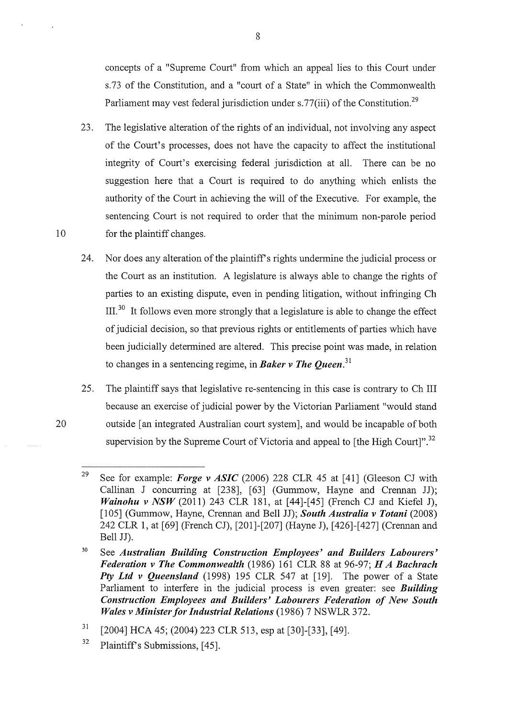concepts of a "Supreme Court" from which an appeal lies to this Court under s.73 of the Constitution, and a "court of a State" in which the Commonwealth Parliament may vest federal jurisdiction under s. 77(iii) of the Constitution.<sup>29</sup>

- 23. The legislative alteration of the rights of an individual, not involving any aspect of the Court's processes, does not have the capacity to affect the institutional integrity of Court's exercising federal jurisdiction at all. There can be no suggestion here that a Court is required to do anything which enlists the authority of the Court in achieving the will of the Executive. For example, the sentencing Court is not required to order that the minimum non-parole period 10 for the plaintiff changes.
	- 24. Nor does any alteration of the plaintiff's rights undermine the judicial process or the Court as an institution. A legislature is always able to change the rights of parties to an existing dispute, even in pending litigation, without infringing Ch  $III<sup>30</sup>$  It follows even more strongly that a legislature is able to change the effect of judicial decision, so that previous rights or entitlements of parties which have been judicially determined are altered. This precise point was made, in relation to changes in a sentencing regime, in *Baker v The Queen.* **<sup>31</sup>**
	- 25. The plaintiff says that legislative re-sentencing in this case is contrary to Ch III because an exercise of judicial power by the Victorian Parliament "would stand outside [an integrated Australian court system], and would be incapable of both supervision by the Supreme Court of Victoria and appeal to [the High Court]".<sup>32</sup>

32 Plaintiff's Submissions, [45].

<sup>29</sup>  See for example: *Forge v ASIC* (2006) 228 CLR 45 at [41] (Gleeson CJ with Callinan J concurring at [238], [63] (Gummow, Hayne and Crennan JJ); *Wainohu v NSW* (2011) 243 CLR 181, at [44]-[45] (French CJ and Kiefel J), [105] (Gummow, Hayne, Crennan and Bell JJ); *South Australia v Totani* (2008) 242 CLR 1, at [69] (French CJ), [201]-[207] (Hayne J), [426]-[427] (Crennan and Bell JJ).

<sup>30</sup>  See *Australian Building Construction Employees' and Builders Labourers' Federation v The Commonwealth* (1986) 161 CLR 88 at 96-97; *HA Bachrach Pty Ltd v Queensland* (1998) 195 CLR 547 at [19]. The power of a State Parliament to interfere in the judicial process is even greater: see *Building Construction Employees and Builders' Labourers Federation of New South Wales v Minister for Industrial Relations* (1986) 7 NSWLR 372.

<sup>31</sup>  [2004] HCA 45; (2004) 223 CLR 513, esp at [30]-[33], [49].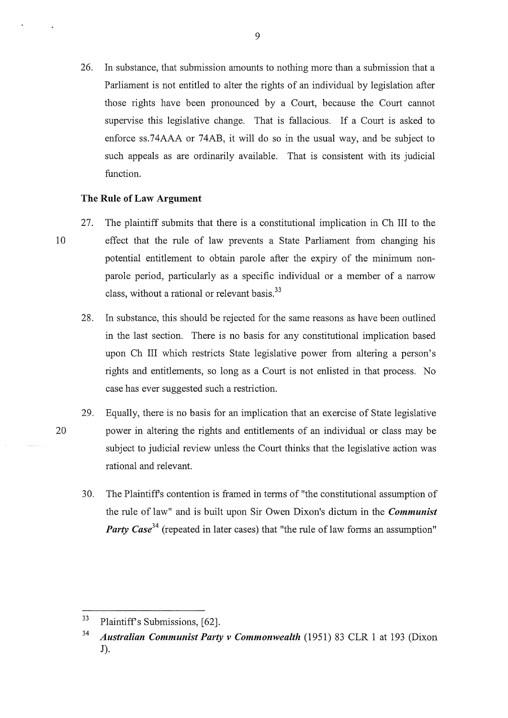26. In substance, that submission amounts to nothing more than a submission that a Parliament is not entitled to alter the rights of an individual by legislation after those rights have been pronounced by a Court, because the Court cannot supervise this legislative change. That is fallacious. If a Court is asked to enforce ss.74AAA or 74AB, it will do so in the usual way, and be subject to such appeals as are ordinarily available. That is consistent with its judicial function.

# **The Rule of Law Argument**

- 27. The plaintiff submits that there is a constitutional implication in Ch III to the 10 effect that the rule of law prevents a State Parliament from changing his potential entitlement to obtain parole after the expiry of the minimum nonparole period, particularly as a specific individual or a member of a narrow class, without a rational or relevant basis.<sup>33</sup>
	- 28. In substance, this should be rejected for the same reasons as have been outlined in the last section. There is no basis for any constitutional implication based upon Ch III which restricts State legislative power from altering a person's rights and entitlements, so long as a Court is not enlisted in that process. No case has ever suggested such a restriction.
- 29. Equally, there is no basis for an implication that an exercise of State legislative 20 power in altering the rights and entitlements of an individual or class may be subject to judicial review unless the Court thinks that the legislative action was rational and relevant.
	- 30. The Plaintiffs contention is framed in tenns of "the constitutional assumption of the rule of law" and is built upon Sir Owen Dixon's dictum in the *Communist Party Case*<sup>34</sup> (repeated in later cases) that "the rule of law forms an assumption"

<sup>&</sup>lt;sup>33</sup> Plaintiff's Submissions, [62].

<sup>34</sup>*Australian Communist Party v Commonwealth* (1951) 83 CLR 1 at 193 (Dixon J).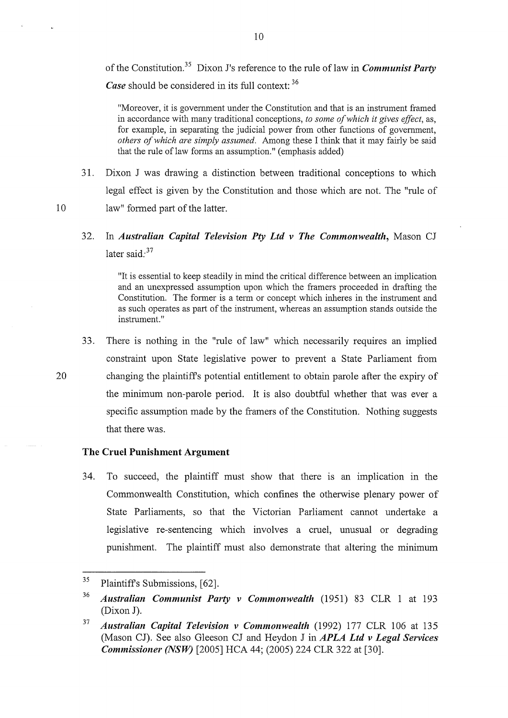of the Constitution.35 Dixon J's reference to the rule of law in *Communist Party Case* should be considered in its full context: <sup>36</sup>

"Moreover, it is government under the Constitution and that is an instrument framed in accordance with many traditional conceptions, *to some of which it gives effect,* as, for example, in separating the judicial power from other functions of government, *others of which are simply assumed.* Among these I think that it may fairly be said that the rule of law forms an assumption." ( emphasis added)

- 31. Dixon J was drawing a distinction between traditional conceptions to which legal effect is given by the Constitution and those which are not. The "rule of 10 law" formed part of the latter.
	- 32. In *Australian Capital Television Pty Ltd v The Commonwealth,* Mason CJ later said: $37$

"It is essential to keep steadily in mind the critical difference between an implication and an unexpressed assumption upon which the framers proceeded in drafting the Constitution. The former is a term or concept which inheres in the instrument and as such operates as part of the instrument, whereas an assumption stands outside the instrument."

33. There is nothing in the "rule of law" which necessarily requires an implied constraint upon State legislative power to prevent a State Parliament from 20 changing the plaintiffs potential entitlement to obtain parole after the expiry of the minimum non-parole period. It is also doubtful whether that was ever a specific assumption made by the framers of the Constitution. Nothing suggests that there was.

# **The Cruel Punishment Argument**

34. To succeed, the plaintiff must show that there is an implication in the Commonwealth Constitution, which confines the otherwise plenary power of State Parliaments, so that the Victorian Parliament cannot undertake a legislative re-sentencing which involves a cruel, unusual or degrading punishment. The plaintiff must also demonstrate that altering the minimum

<sup>35</sup>  Plaintiffs Submissions, [62].

<sup>36</sup>  *Australian Communist Party v Commonwealth* (1951) 83 CLR 1 at 193 (Dixon J).

<sup>37</sup>  *Australian Capital Television v Commonwealth* (1992) 177 CLR 106 at 135 (Mason CJ). See also Gleeson CJ and Heydon J in **APLA Ltd v Legal Services** *Commissioner (NSW)* [2005] HCA 44; (2005) 224 CLR 322 at [30].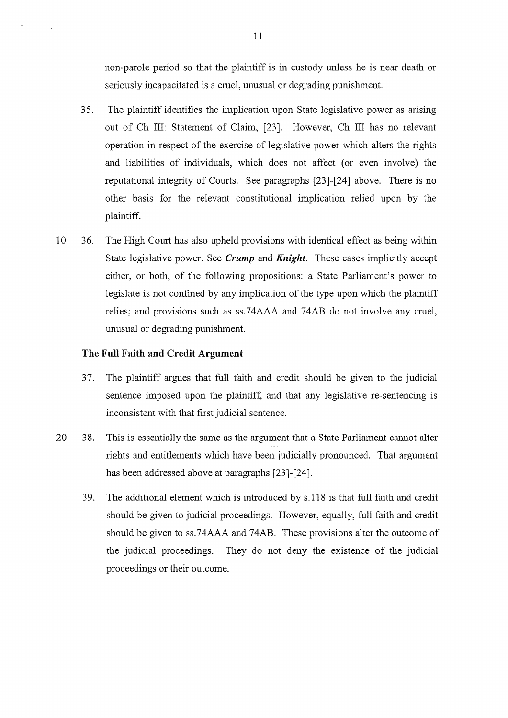non-parole period so that the plaintiff is in custody unless he is near death or seriously incapacitated is a cruel, unusual or degrading punishment.

- 35. The plaintiff identifies the implication upon State legislative power as arising out of Ch III: Statement of Claim, [23]. However, Ch III has no relevant operation in respect of the exercise of legislative power which alters the rights and liabilities of individuals, which does not affect (or even involve) the reputational integrity of Courts. See paragraphs [23]-[24] above. There is no other basis for the relevant constitutional implication relied upon by the plaintiff.
- 10 36. The High Court has also upheld provisions with identical effect as being within State legislative power. See *Crump* and *Knight.* These cases implicitly accept either, or both, of the following propositions: a State Parliament's power to legislate is not confined by any implication of the type upon which the plaintiff relies; and provisions such as ss.74AAA and 74AB do not involve any cruel, unusual or degrading punishment.

### **The Full Faith and Credit Argument**

- 3 7. The plaintiff argues that full faith and credit should be given to the judicial sentence imposed upon the plaintiff, and that any legislative re-sentencing is inconsistent with that first judicial sentence.
- 20 38. This is essentially the same as the argument that a State Parliament cannot alter rights and entitlements which have been judicially pronounced. That argument has been addressed above at paragraphs [23]-[24].
	- 3 9. The additional element which is introduced by s.118 is that full faith and credit should be given to judicial proceedings. However, equally, full faith and credit should be given to ss.74AAA and 74AB. These provisions alter the outcome of the judicial proceedings. They do not deny the existence of the judicial proceedings or their outcome.